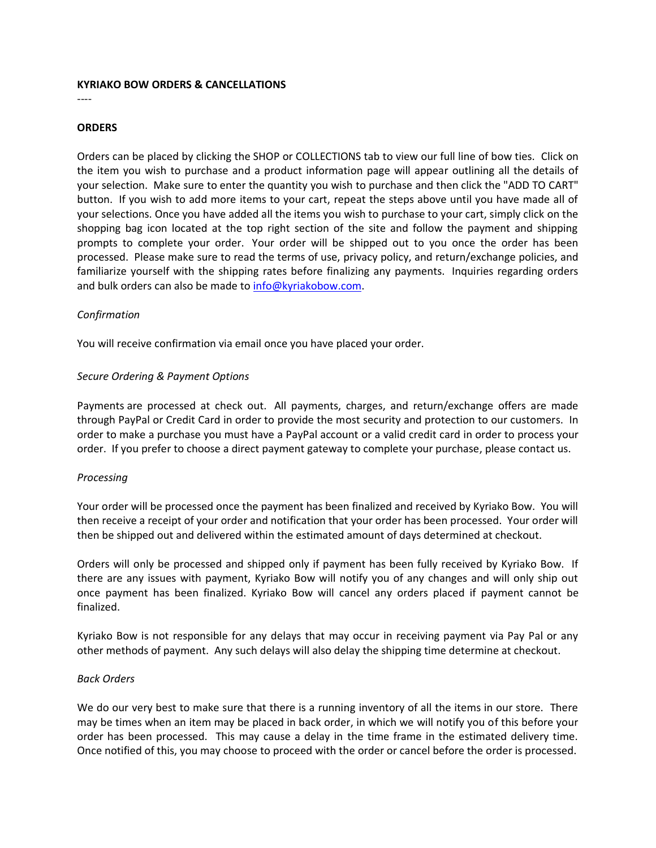### **KYRIAKO BOW ORDERS & CANCELLATIONS**

#### ----

#### **ORDERS**

Orders can be placed by clicking the SHOP or COLLECTIONS tab to view our full line of bow ties. Click on the item you wish to purchase and a product information page will appear outlining all the details of your selection. Make sure to enter the quantity you wish to purchase and then click the "ADD TO CART" button. If you wish to add more items to your cart, repeat the steps above until you have made all of your selections. Once you have added all the items you wish to purchase to your cart, simply click on the shopping bag icon located at the top right section of the site and follow the payment and shipping prompts to complete your order. Your order will be shipped out to you once the order has been processed. Please make sure to read the terms of use, privacy policy, and return/exchange policies, and familiarize yourself with the shipping rates before finalizing any payments. Inquiries regarding orders and bulk orders can also be made to [info@kyriakobow.com.](mailto:info@kyriakobow.com)

### *Confirmation*

You will receive confirmation via email once you have placed your order.

#### *Secure Ordering & Payment Options*

Payments are processed at check out. All payments, charges, and return/exchange offers are made through PayPal or Credit Card in order to provide the most security and protection to our customers. In order to make a purchase you must have a PayPal account or a valid credit card in order to process your order. If you prefer to choose a direct payment gateway to complete your purchase, please contact us.

### *Processing*

Your order will be processed once the payment has been finalized and received by Kyriako Bow. You will then receive a receipt of your order and notification that your order has been processed. Your order will then be shipped out and delivered within the estimated amount of days determined at checkout.

Orders will only be processed and shipped only if payment has been fully received by Kyriako Bow. If there are any issues with payment, Kyriako Bow will notify you of any changes and will only ship out once payment has been finalized. Kyriako Bow will cancel any orders placed if payment cannot be finalized.

Kyriako Bow is not responsible for any delays that may occur in receiving payment via Pay Pal or any other methods of payment. Any such delays will also delay the shipping time determine at checkout.

### *Back Orders*

We do our very best to make sure that there is a running inventory of all the items in our store. There may be times when an item may be placed in back order, in which we will notify you of this before your order has been processed. This may cause a delay in the time frame in the estimated delivery time. Once notified of this, you may choose to proceed with the order or cancel before the order is processed.